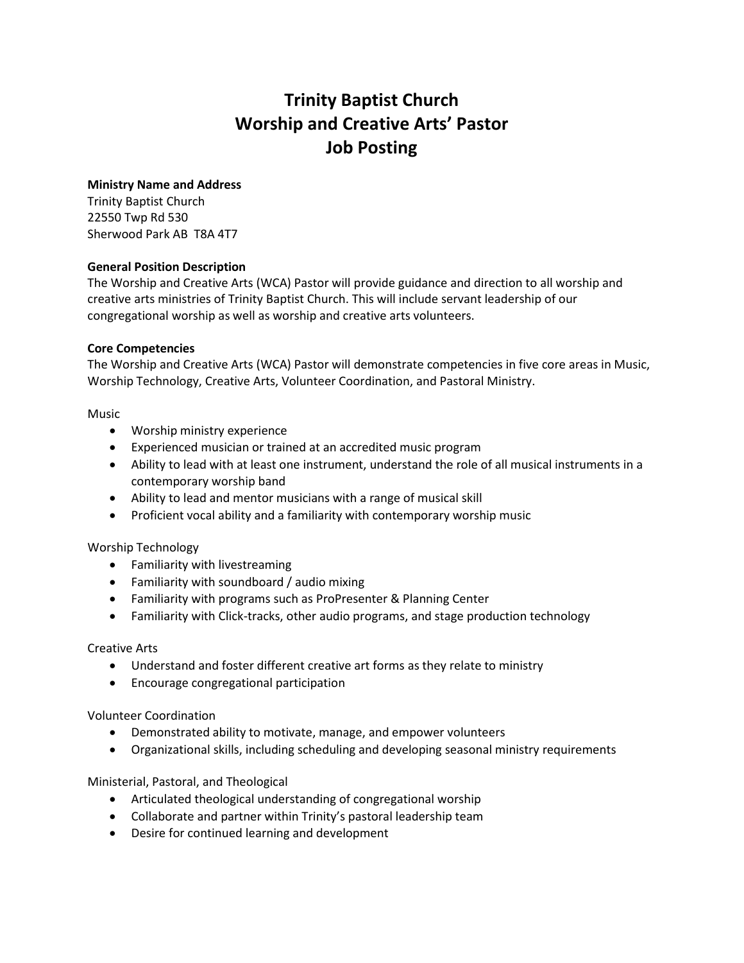# **Trinity Baptist Church Worship and Creative Arts' Pastor Job Posting**

### **Ministry Name and Address**

Trinity Baptist Church 22550 Twp Rd 530 Sherwood Park AB T8A 4T7

### **General Position Description**

The Worship and Creative Arts (WCA) Pastor will provide guidance and direction to all worship and creative arts ministries of Trinity Baptist Church. This will include servant leadership of our congregational worship as well as worship and creative arts volunteers.

### **Core Competencies**

The Worship and Creative Arts (WCA) Pastor will demonstrate competencies in five core areas in Music, Worship Technology, Creative Arts, Volunteer Coordination, and Pastoral Ministry.

Music

- Worship ministry experience
- Experienced musician or trained at an accredited music program
- Ability to lead with at least one instrument, understand the role of all musical instruments in a contemporary worship band
- Ability to lead and mentor musicians with a range of musical skill
- Proficient vocal ability and a familiarity with contemporary worship music

### Worship Technology

- Familiarity with livestreaming
- Familiarity with soundboard / audio mixing
- Familiarity with programs such as ProPresenter & Planning Center
- Familiarity with Click-tracks, other audio programs, and stage production technology

### Creative Arts

- Understand and foster different creative art forms as they relate to ministry
- Encourage congregational participation

### Volunteer Coordination

- Demonstrated ability to motivate, manage, and empower volunteers
- Organizational skills, including scheduling and developing seasonal ministry requirements

### Ministerial, Pastoral, and Theological

- Articulated theological understanding of congregational worship
- Collaborate and partner within Trinity's pastoral leadership team
- Desire for continued learning and development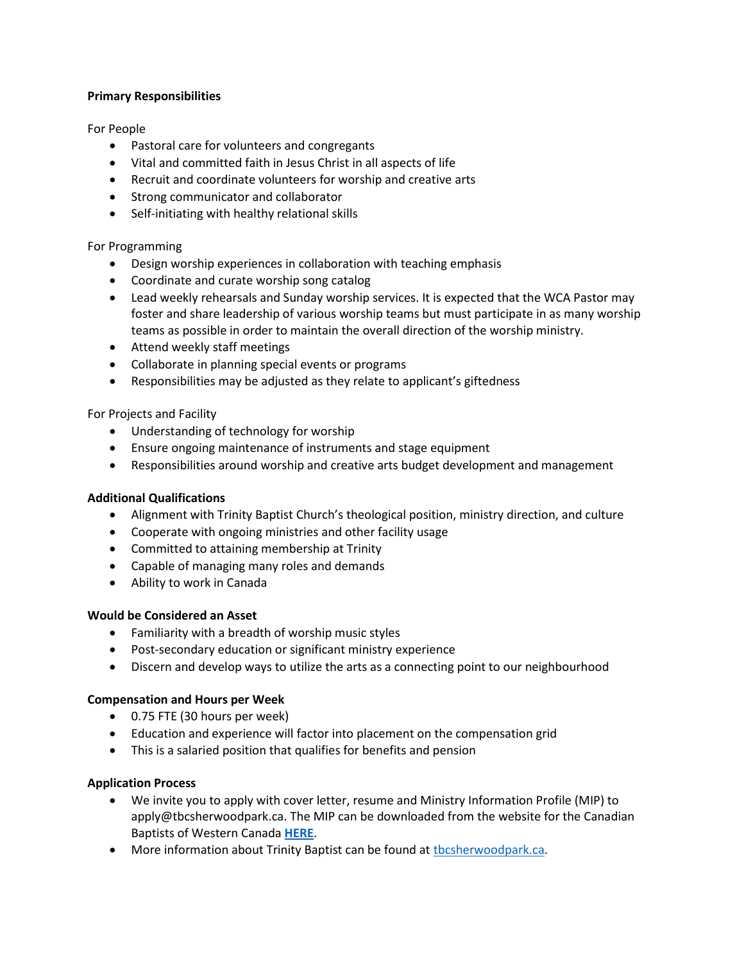## **Primary Responsibilities**

For People

- Pastoral care for volunteers and congregants
- Vital and committed faith in Jesus Christ in all aspects of life
- Recruit and coordinate volunteers for worship and creative arts
- Strong communicator and collaborator
- Self-initiating with healthy relational skills

For Programming

- Design worship experiences in collaboration with teaching emphasis
- Coordinate and curate worship song catalog
- Lead weekly rehearsals and Sunday worship services. It is expected that the WCA Pastor may foster and share leadership of various worship teams but must participate in as many worship teams as possible in order to maintain the overall direction of the worship ministry.
- Attend weekly staff meetings
- Collaborate in planning special events or programs
- Responsibilities may be adjusted as they relate to applicant's giftedness

For Projects and Facility

- Understanding of technology for worship
- Ensure ongoing maintenance of instruments and stage equipment
- Responsibilities around worship and creative arts budget development and management

### **Additional Qualifications**

- Alignment with Trinity Baptist Church's theological position, ministry direction, and culture
- Cooperate with ongoing ministries and other facility usage
- Committed to attaining membership at Trinity
- Capable of managing many roles and demands
- Ability to work in Canada

### **Would be Considered an Asset**

- Familiarity with a breadth of worship music styles
- Post-secondary education or significant ministry experience
- Discern and develop ways to utilize the arts as a connecting point to our neighbourhood

### **Compensation and Hours per Week**

- 0.75 FTE (30 hours per week)
- Education and experience will factor into placement on the compensation grid
- This is a salaried position that qualifies for benefits and pension

### **Application Process**

- We invite you to apply with cover letter, resume and Ministry Information Profile (MIP) to apply@tbcsherwoodpark.ca. The MIP can be downloaded from the website for the Canadian Baptists of Western Canada **[HERE](https://cbwc.ca/wp-content/uploads/2020/12/MIP-2020-1.pdf)**.
- More information about Trinity Baptist can be found at the sherwood park.ca.